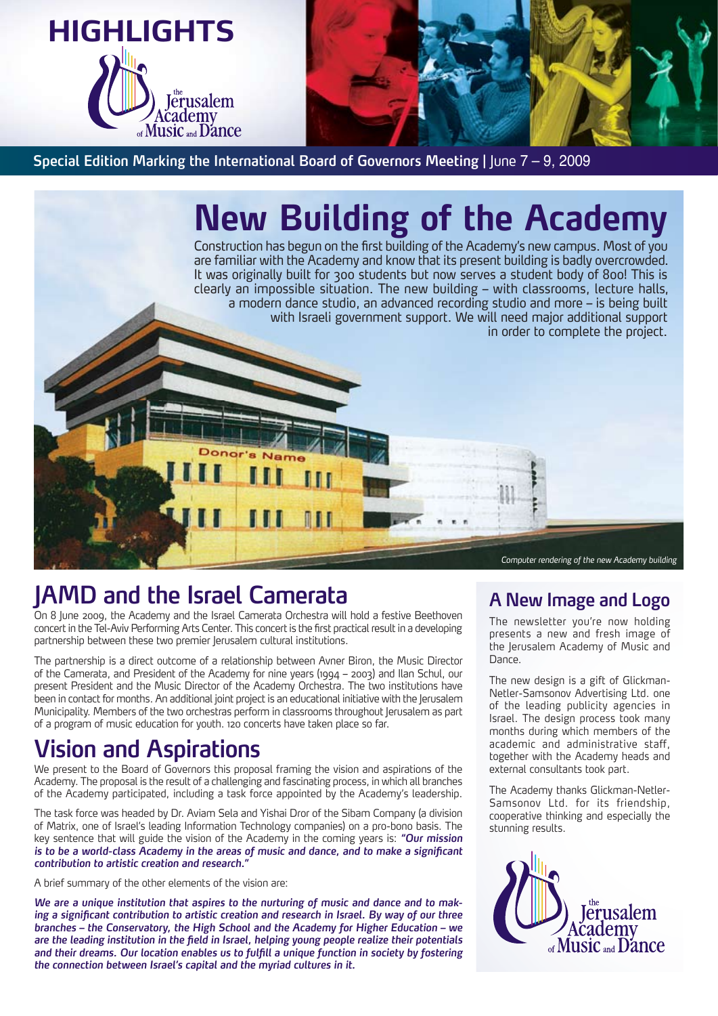

**Special Edition Marking the International Board of Governors Meeting | June 7 - 9, 2009** 

# **New Building of the Academy**

Construction has begun on the first building of the Academy's new campus. Most of you are familiar with the Academy and know that its present building is badly overcrowded. It was originally built for 300 students but now serves a student body of 800! This is clearly an impossible situation. The new building – with classrooms, lecture halls, a modern dance studio, an advanced recording studio and more – is being built with Israeli government support. We will need major additional support in order to complete the project.

## **IAMD** and the Israel Camerata

On 8 June 2009, the Academy and the Israel Camerata Orchestra will hold a festive Beethoven concert in the Tel-Aviv Performing Arts Center. This concert is the first practical result in a developing partnership between these two premier lerusalem cultural institutions.

 $N<sub>B</sub>$ 

The partnership is a direct outcome of a relationship between Avner Biron, the Music Director of the Camerata, and President of the Academy for nine years (1994 – 2003) and Ilan Schul, our present President and the Music Director of the Academy Orchestra. The two institutions have been in contact for months. An additional joint project is an educational initiative with the Jerusalem Municipality. Members of the two orchestras perform in classrooms throughout lerusalem as part of a program of music education for youth. 120 concerts have taken place so far.

## **Aspirations and Vision**

We present to the Board of Governors this proposal framing the vision and aspirations of the Academy. The proposal is the result of a challenging and fascinating process, in which all branches of the Academy participated, including a task force appointed by the Academy's leadership.

The task force was headed by Dr. Aviam Sela and Yishai Dror of the Sibam Company (a division of Matrix, one of Israel's leading Information Technology companies) on a pro-bono basis. The key sentence that will guide the vision of the Academy in the coming years is: "Our mission is to be a world-class Academy in the areas of music and dance, and to make a significant contribution to artistic creation and research.<sup>"</sup>

A brief summary of the other elements of the vision are:

ing a significant contribution to artistic creation and research in Israel. By way of our three We are a unique institution that aspires to the nurturing of music and dance and to mak*branches – the Conservatory, the High School and the Academy for Higher Education – we* are the leading institution in the field in Israel, helping young people realize their potentials and their dreams. Our location enables us to fulfill a unique function in society by fostering the connection between Israel's capital and the myriad cultures in it.

Computer rendering of the new Academy building

### **A** New Image and Logo

The newsletter you're now holding presents a new and fresh image of the Jerusalem Academy of Music and Dance.

Netler-Samsonov Advertising Ltd. one The new design is a gift of Glickmanof the leading publicity agencies in Israel. The design process took many months during which members of the academic and administrative staff, together with the Academy heads and external consultants took part.

Samsonov Ltd, for its friendship. The Academy thanks Glickman-Netlercooperative thinking and especially the stunning results.

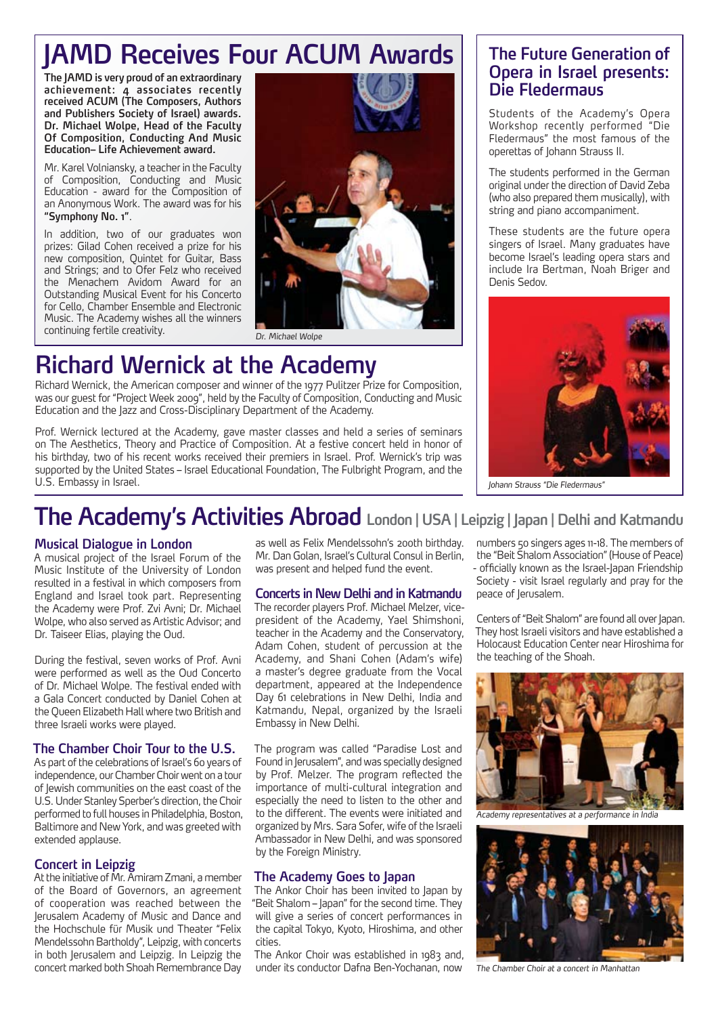## **IAMD Receives Four ACUM Awards**

The JAMD is very proud of an extraordinary achievement: 4 associates recently received ACUM (The Composers, Authors and Publishers Society of Israel) awards. Dr. Michael Wolpe, Head of the Faculty **Of Composition, Conducting And Music Education- Life Achievement award.** 

Mr. Karel Volniansky, a teacher in the Faculty of Composition, Conducting and Music Education - award for the Composition of an Anonymous Work. The award was for his "Symphony No. 1".

In addition, two of our graduates won prizes: Gilad Cohen received a prize for his new composition, Quintet for Guitar, Bass and Strings; and to Ofer Felz who received the Menachem Avidom Award for an Outstanding Musical Event for his Concerto for Cello, Chamber Ensemble and Electronic Music. The Academy wishes all the winners continuing fertile creativity.



## **Richard Wernick at the Academy**

Richard Wernick, the American composer and winner of the 1977 Pulitzer Prize for Composition, was our guest for "Project Week 2009", held by the Faculty of Composition, Conducting and Music Education and the Jazz and Cross-Disciplinary Department of the Academy.

Prof. Wernick lectured at the Academy, gave master classes and held a series of seminars on The Aesthetics. Theory and Practice of Composition. At a festive concert held in honor of his birthday, two of his recent works received their premiers in Israel. Prof. Wernick's trip was supported by the United States - Israel Educational Foundation, The Fulbright Program, and the U.S. Embassy in Israel.

#### **The Future Generation of Opera in Israel presents: Die Fledermaus**

Students of the Academy's Opera Workshop recently performed "Die Fledermaus" the most famous of the operettas of Johann Strauss II.

The students performed in the German original under the direction of David Zeba (who also prepared them musically), with string and piano accompaniment.

These students are the future opera singers of Israel. Many graduates have become Israel's leading opera stars and include Ira Bertman, Noah Briger and Denis Sedov



*"Fledermaus Die "Strauss Johann*

## **The Academy's Activities Abroad London | USA | Leipzig | Japan | Delhi and Katmandu**

#### **Musical Dialogue in London**

A musical project of the Israel Forum of the Music Institute of the University of London resulted in a festival in which composers from England and Israel took part. Representing the Academy were Prof. Zvi Avni; Dr. Michael Wolpe, who also served as Artistic Advisor; and Dr. Taiseer Elias, playing the Oud.

During the festival, seven works of Prof. Avni were performed as well as the Oud Concerto of Dr. Michael Wolpe. The festival ended with a Gala Concert conducted by Daniel Cohen at the Oueen Elizabeth Hall where two British and three Israeli works were played.

#### **The Chamber Choir Tour to the U.S.**

As part of the celebrations of Israel's 60 years of independence, our Chamber Choir went on a tour of lewish communities on the east coast of the U.S. Under Stanley Sperber's direction, the Choir performed to full houses in Philadelphia, Boston, Baltimore and New York, and was greeted with extended applause.

#### **Concert in Leipzig**

At the initiative of Mr. Amiram Zmani, a member of the Board of Governors, an agreement of cooperation was reached between the Jerusalem Academy of Music and Dance and the Hochschule für Musik und Theater "Felix Mendelssohn Bartholdy", Leipzig, with concerts in both Jerusalem and Leipzig. In Leipzig the concert marked both Shoah Remembrance Day as well as Felix Mendelssohn's 200th birthday. Mr. Dan Golan, Israel's Cultural Consul in Berlin. was present and helped fund the event.

#### **Concerts in New Delhi and in Katmandu**

president of the Academy, Yael Shimshoni, The recorder players Prof. Michael Melzer, viceteacher in the Academy and the Conservatory, Adam Cohen, student of percussion at the Academy, and Shani Cohen (Adam's wife) a master's degree graduate from the Vocal department, appeared at the Independence Day 61 celebrations in New Delhi, India and Katmandu, Nepal, organized by the Israeli Embassy in New Delhi.

The program was called "Paradise Lost and Found in Jerusalem", and was specially designed by Prof. Melzer. The program reflected the importance of multi-cultural integration and especially the need to listen to the other and to the different. The events were initiated and organized by Mrs. Sara Sofer, wife of the Israeli Ambassador in New Delhi, and was sponsored by the Foreign Ministry.

#### **The Academy Goes to Japan**

The Ankor Choir has been invited to Japan by "Beit Shalom - Japan" for the second time. They will give a series of concert performances in the capital Tokyo, Kyoto, Hiroshima, and other .cities

The Ankor Choir was established in 1983 and, under its conductor Dafna Ben-Yochanan, now

numbers 50 singers ages 11-18. The members of the "Beit Shalom Association" (House of Peace) - officially known as the Israel-Iapan Friendship Society - visit Israel regularly and pray for the peace of lerusalem.

Centers of "Beit Shalom" are found all over lapan. They host Israeli visitors and have established a Holocaust Education Center near Hiroshima for the teaching of the Shoah.



Academy representatives at a performance in India



The Chamber Choir at a concert in Manhattan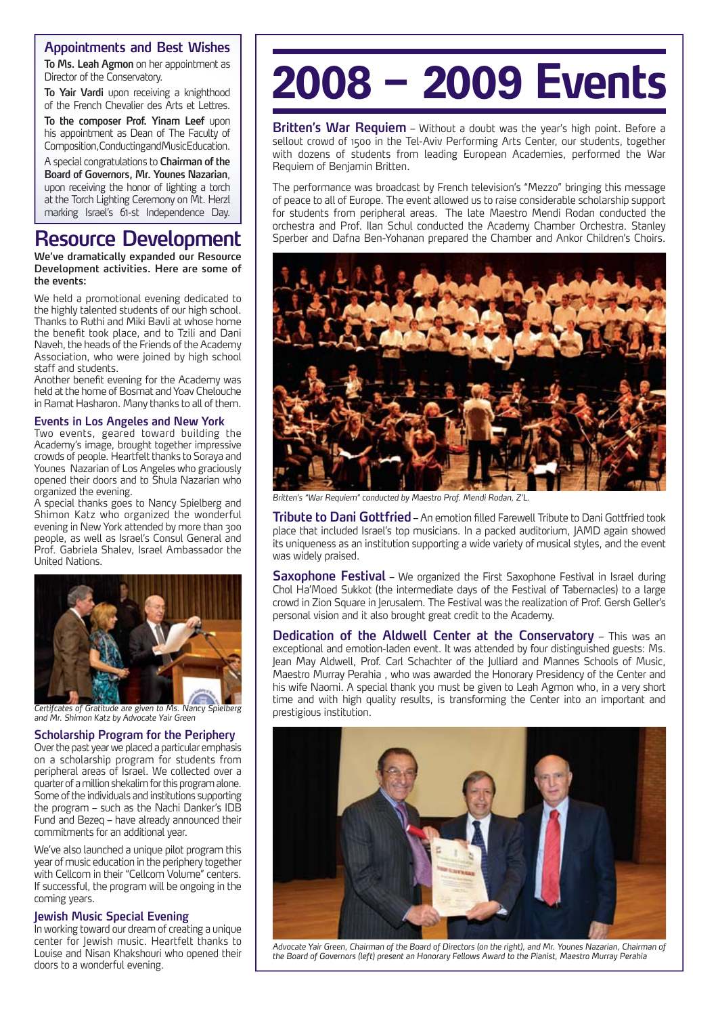#### **Appointments and Best Wishes**

To Ms. Leah Agmon on her appointment as Director of the Conservatory.

To Yair Vardi upon receiving a knighthood of the French Chevalier des Arts et Lettres.

To the composer Prof. Yinam Leef upon his appointment as Dean of The Faculty of Composition, Conducting and Music Education.

A special congratulations to **Chairman of the** Board of Governors, Mr. Younes Nazarian, upon receiving the honor of lighting a torch at the Torch Lighting Ceremony on Mt. Herzl marking Israel's 61-st Independence Day.

## **Resource Development**

**We've dramatically expanded our Resource** Development activities. Here are some of the events:

We held a promotional evening dedicated to the highly talented students of our high school. Thanks to Ruthi and Miki Bavli at whose home the benefit took place, and to Tzili and Dani Naveh, the heads of the Friends of the Academy Association, who were joined by high school staff and students.

Another benefit evening for the Academy was held at the home of Bosmat and Yoav Chelouche in Ramat Hasharon. Many thanks to all of them.

#### **Events in Los Angeles and New York**

Two events, geared toward building the Academy's image, brought together impressive crowds of people. Heartfelt thanks to Soraya and Younes Nazarian of Los Angeles who graciously opened their doors and to Shula Nazarian who organized the evening.

A special thanks goes to Nancy Spielberg and Shimon Katz who organized the wonderful evening in New York attended by more than 300 people, as well as Israel's Consul General and Prof. Gabriela Shalev, Israel Ambassador the **United Nations** 



Certifcates of Gratitude are given to Ms. Nancy Spielberg and Mr. Shimon Katz by Advocate Yair Green

#### **Scholarship Program for the Peripherv**

Over the past year we placed a particular emphasis on a scholarship program for students from peripheral areas of Israel. We collected over a quarter of a million shekalim for this program alone. Some of the individuals and institutions supporting the program – such as the Nachi Danker's IDB Fund and Bezeq – have already announced their commitments for an additional year.

We've also launched a unique pilot program this year of music education in the periphery together with Cellcom in their "Cellcom Volume" centers. If successful, the program will be ongoing in the coming years.

#### **Jewish Music Special Evening**

In working toward our dream of creating a unique center for Jewish music. Heartfelt thanks to Louise and Nisan Khakshouri who opened their doors to a wonderful evening.

# **Events π≤∞∞∏ ≠ ≤∞∞**

**Britten's War Requiem** – Without a doubt was the year's high point. Before a sellout crowd of 1500 in the Tel-Aviv Performing Arts Center, our students, together with dozens of students from leading European Academies, performed the War Requiem of Benjamin Britten.

The performance was broadcast by French television's "Mezzo" bringing this message of peace to all of Europe. The event allowed us to raise considerable scholarship support for students from peripheral areas. The late Maestro Mendi Rodan conducted the orchestra and Prof. Ilan Schul conducted the Academy Chamber Orchestra. Stanley Sperber and Dafna Ben-Yohanan prepared the Chamber and Ankor Children's Choirs.



Britten's "War Requiem" conducted by Maestro Prof. Mendi Rodan, Z'L

**Tribute to Dani Gottfried –** An emotion filled Farewell Tribute to Dani Gottfried took place that included Israel's top musicians. In a packed auditorium, JAMD again showed its uniqueness as an institution supporting a wide variety of musical styles, and the event was widely praised.

**Saxophone Festival** – We organized the First Saxophone Festival in Israel during Chol  $Ha'Moed$  Sukkot (the intermediate days of the Festival of Tabernacles) to a large crowd in Zion Square in lerusalem. The Festival was the realization of Prof. Gersh Geller's personal vision and it also brought great credit to the Academy.

**Dedication of the Aldwell Center at the Conservatory –** This was an exceptional and emotion-laden event. It was attended by four distinguished guests: Ms. Jean May Aldwell, Prof. Carl Schachter of the Julliard and Mannes Schools of Music, Maestro Murray Perahia, who was awarded the Honorary Presidency of the Center and his wife Naomi. A special thank you must be given to Leah Agmon who, in a very short time and with high quality results, is transforming the Center into an important and prestigious institution.



Advocate Yair Green, Chairman of the Board of Directors (on the right), and Mr. Younes Nazarian, Chairman of the Board of Governors (left) present an Honorary Fellows Award to the Pianist, Maestro Murray Perahia